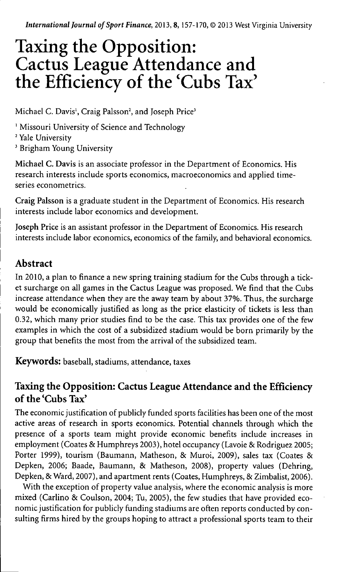*International Journal of Sport Finance,* 2013, 8, 157-170, © 2013 West Virginia University

# Taxing the Opposition: Cactus League Attendance and the Efficiency of the 'Cubs Tax'

Michael C. Davis<sup>1</sup>, Craig Palsson<sup>2</sup>, and Joseph Price<sup>3</sup>

' Missouri University of Science and Technology

<sup>2</sup> Yale University

*'* Brigham Young University

**Michael** C. Davis is an associate professor in the Department of Economics. His research interests include sports economics, macroeconomics and applied timeseries econometrics.

Craig **Palsson** is a graduate student in the Department of Economics. His research interests include labor economics and development.

**Joseph** Price is an assistant professor in the Department of Economics. His research interests include labor economics, economics of the family, and behavioral economics.

# Abstract

In 2010, a plan to finance a new spring training stadium for the Cubs through a ticket surcharge on all games in the Cactus League was proposed. We find that the Cubs increase attendance when they are the away team by about 37%. Thus, the surcharge would be economically justified as long as the price elasticity of tickets is less than 0.32, which many prior studies find to be the case. This tax provides one of the few examples in which the cost of a subsidized stadium would be born primarily by the group that benefits the most from the arrival of the subsidized team.

**Keywords:** baseball, stadiums, attendance, taxes

# Taxing the Opposition: Cactus League Attendance and the Efficiency of the'Cubs Tax'

The economic justification of publicly funded sports facihties has been one of the most active areas of research in sports economics. Potential channels through which the presence of a sports team might provide economic benefits include increases in employment (Coates & Humphreys 2003), hotel occupancy (Lavoie & Rodriguez 2005; Porter 1999), tourism (Baumann, Matheson, & Muroi, 2009), sales tax (Coates & Depken, 2006; Baade, Baumann, & Matheson, 2008), property values (Dehring, Depken, & Ward, 2007), and apartment rents (Coates, Humphreys, & Zimbalist, 2006).

With the exception of property value analysis, where the economic analysis is more mixed (Carlino & Coulson, 2004; Tu, 2005), the few studies that have provided economic justification for publicly funding stadiums are often reports conducted by consulting firms hired by the groups hoping to attract a professional sports team to their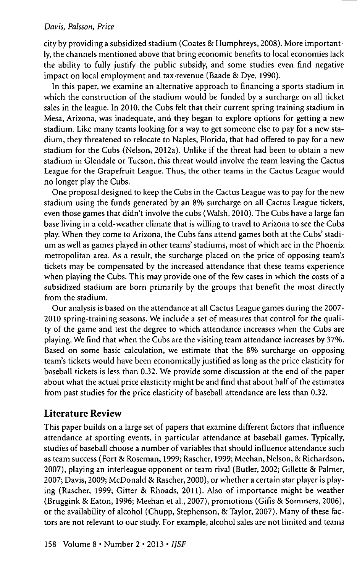city by providing a subsidized stadium (Coates & Humphreys, 2008). More importantly, the channels mentioned above that bring economic benefits to local economies lack the ability to fully justify the public subsidy, and some studies even find negative impact on local employment and tax-revenue (Baade & Dye, 1990).

In this paper, we examine an alternative approach to financing a sports stadium in which the construction of the stadium would be funded by a surcharge on all ticket sales in the league. In 2010, the Cubs felt that their current spring training stadium in Mesa, Arizona, was inadequate, and they began to explore options for getting a new stadium. Like many teams looking for a way to get someone else to pay for a new stadium, they threatened to relocate to Naples, Florida, that had offered to pay for a new stadium for the Cubs (Nelson, 2012a). Unlike if the threat had been to obtain a new stadium in Glendale or Tucson, this threat would involve the team leaving the Cactus League for the Grapefruit League. Thus, the other teams in the Cactus League would no longer play the Cubs.

One proposal designed to keep the Cubs in the Cactus League was to pay for the new stadium using the funds generated by an 8% surcharge on all Cactus League tickets, even those games that didn't involve the cubs (Walsh, 2010). The Cubs have a large fan base living in a cold-weather climate that is willing to travel to Arizona to see the Cubs play. When they come to Arizona, the Cubs fans attend games both at the Cubs' stadium as well as games played in other teams' stadiums, most of which are in the Phoenix metropolitan area. As a result, the surcharge placed on the price of opposing team's tickets may be compensated by the increased attendance that these teams experience when playing the Cubs. This may provide one of the few cases in which the costs of a subsidized stadium are born primarily by the groups that benefit the most directly from the stadium.

Our analysis is based on the attendance at all Cactus League games during the 2007- 2010 spring-training seasons. We include a set of measures that control for the quality of the game and test the degree to which attendance increases when the Cubs are playing. We find that when the Cubs are the visiting team attendance increases by 37%. Based on some basic calculation, we estimate that the 8% surcharge on opposing team's tickets would have been economically justified as long as the price elasticity for baseball tickets is less than 0.32. We provide some discussion at the end of the paper about what the actual price elasticity might be and find that about half of the estimates from past studies for the price elasticity of baseball attendance are less than 0.32.

## Literature Review

This paper builds on a large set of papers that examine different factors that influence attendance at sporting events, in particular attendance at baseball games. Typically, studies of baseball choose a number of variables that should influence attendance such as team success (Fort & Roseman, 1999; Rascher, 1999; Meehan, Nelson, & Richardson, 2007), playing an interleague opponent or team rival (Butler, 2002; Gillette & Palmer, 2007; Davis, 2009; McDonald & Rascher, 2000), or whether a certain star player is playing (Rascher, 1999; Gitter & Rhoads, 2011). Also of importance might be weather (Bruggink & Eaton, 1996; Meehan et al., 2007), promotions (Gifis & Sommers, 2006), or the availability of alcohol (Chupp, Stephenson, & Taylor, 2007). Many of these factors are not relevant to our study. For example, alcohol sales are not limited and teams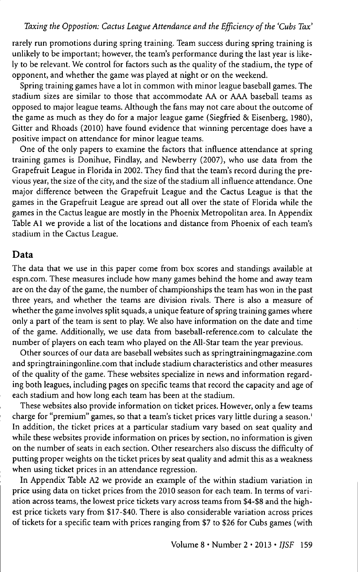rarely run promotions during spring training. Team success during spring training is unlikely to be important; however, the team's performance during the last year is likely to be relevant. We control for factors such as the quality of the stadium, the type of opponent, and whether the game was played at night or on the weekend.

Spring training games have a lot in common with minor league baseball games. The stadium sizes are similar to those that accommodate AA or AAA baseball teams as opposed to major league teams. Although the fans may not care about the outcome of the game as much as they do for a major league game (Siegfried & Eisenberg, 1980), Gitter and Rhoads (2010) have found evidence that winning percentage does have a positive impact on attendance for minor league teams.

One of the only papers to examine the factors that infiuence attendance at spring training games is Donihue, Findlay, and Newberry (2007), who use data from the Grapefruit League in Florida in 2002. They find that the team's record during the previous year, the size of the city, and the size of the stadium all infiuence attendance. One major difference between the Grapefruit League and the Cactus League is that the games in the Grapefruit League are spread out all over the state of Florida while the games in the Cactus league are mostly in the Phoenix Metropolitan area. In Appendix Table Al we provide a list of the locations and distance from Phoenix of each team's stadium in the Cactus League.

#### Data

The data that we use in this paper come from box scores and standings available at espn.com. These measures include how many games behind the home and away team are on the day of the game, the number of championships the team has won in the past three years, and whether the teams are division rivals. There is also a measure of whether the game involves split squads, a unique feature of spring training games where only a part of the team is sent to play. We also have information on the date and time of the game. Additionally, we use data from baseball-reference.com to calculate the number of players on each team who played on the All-Star team the year previous.

Other sources of our data are baseball websites such as springtrainingmagazine.com and springtrainingonline.com that include stadium characteristics and other measures of the quality of the game. These websites specialize in news and information regarding both leagues, including pages on specific teams that record the capacity and age of each stadium and how long each team has been at the stadium.

These websites also provide information on ticket prices. However, only a few teams charge for "premium" games, so that a team's ticket prices vary little during a season.' In addition, the ticket prices at a particular stadium vary based on seat quality and while these websites provide information on prices by section, no information is given on the number of seats in each section. Other researchers also discuss the difficulty of putting proper weights on the ticket prices by seat quality and admit this as a weakness when using ticket prices in an attendance regression.

In Appendix Table A2 we provide an example of the within stadium variation in price using data on ticket prices from the 2010 season for each team. In terms of variation across teams, the lowest price tickets vary across teams from \$4-\$8 and the highest price tickets vary from \$17-\$40. There is also considerable variation across prices of tickets for a specific team with prices ranging from \$7 to \$26 for Cubs games (with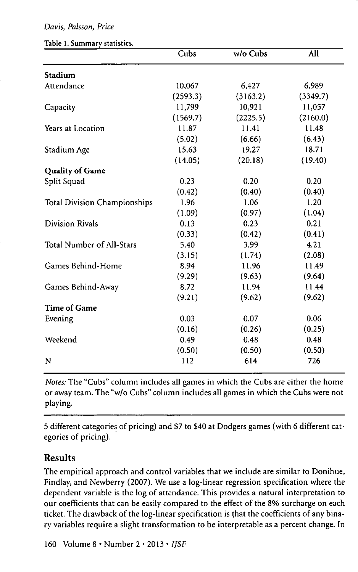|  |  |  | Table 1. Summary statistics. |
|--|--|--|------------------------------|
|--|--|--|------------------------------|

|                                     | Cubs     | w/o Cubs | All      |
|-------------------------------------|----------|----------|----------|
| Stadium                             |          |          |          |
| Attendance                          | 10,067   | 6,427    | 6,989    |
|                                     | (2593.3) | (3163.2) | (3349.7) |
| Capacity                            | 11,799   | 10,921   | 11,057   |
|                                     | (1569.7) | (2225.5) | (2160.0) |
| Years at Location                   | 11.87    | 11.41    | 11.48    |
|                                     | (5.02)   | (6.66)   | (6.43)   |
| Stadium Age                         | 15.63    | 19.27    | 18.71    |
|                                     | (14.05)  | (20.18)  | (19.40)  |
| <b>Quality of Game</b>              |          |          |          |
| Split Squad                         | 0.23     | 0.20     | 0.20     |
|                                     | (0.42)   | (0.40)   | (0.40)   |
| <b>Total Division Championships</b> | 1.96     | 1.06     | 1.20     |
|                                     | (1.09)   | (0.97)   | (1.04)   |
| <b>Division Rivals</b>              | 0.13     | 0.23     | 0.21     |
|                                     | (0.33)   | (0.42)   | (0.41)   |
| Total Number of All-Stars           | 5.40     | 3.99     | 4.21     |
|                                     | (3.15)   | (1.74)   | (2.08)   |
| Games Behind-Home                   | 8.94     | 11.96    | 11.49    |
|                                     | (9.29)   | (9.63)   | (9.64)   |
| Games Behind-Away                   | 8.72     | 11.94    | 11.44    |
|                                     | (9.21)   | (9.62)   | (9.62)   |
| <b>Time of Game</b>                 |          |          |          |
| Evening                             | 0.03     | 0.07     | 0.06     |
|                                     | (0.16)   | (0.26)   | (0.25)   |
| Weekend                             | 0.49     | 0.48     | 0.48     |
|                                     | (0.50)   | (0.50)   | (0.50)   |
| N                                   | 112      | 614      | 726      |
|                                     |          |          |          |

*Notes:* The "Cubs" column includes all games in which the Cubs are either the home or away team. The "w/o Cubs" column includes all games in which the Cubs were not playing.

5 different categories of pricing) and \$7 to \$40 at Dodgers games (with 6 different categories of pricing).

## Results

The empirical approach and control variables that we include are similar to Donihue, Findlay, and Newberry (2007). We use a log-linear regression specification where the dependent variable is the log of attendance. This provides a natural interpretation to our coefficients that can be easily compared to the effect of the 8% surcharge on each ticket. The drawback of the log-linear specification is that the coefficients of any binary variables require a slight transformation to be interpretable as a percent change. In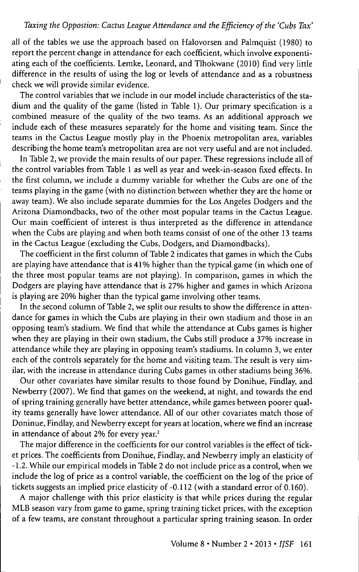#### *Taxing the Oppostion: Gactus League Attendance and the Efficiency of the 'Gubs Tax'*

all of the tables we use the approach based on Halovorsen and Palmquist (1980) to report the percent change in attendance for each coefficient, which involve exponentiating each of the coefficients. Lemke, Leonard, and Tlhokwane (2010) find very little difference in the results of using the log or levels of attendance and as a robustness check we will provide similar evidence.

The control variables that we include in our model include characteristics of the stadium and the quality of the game (listed in Table 1). Our primary specification is a combined measure of the quality of the two teams. As an additional approach we include each of these measures separately for the home and visiting team. Since the teams in the Gactus League mostly play in the Phoenix metropolitan area, variables describing the home team's metropolitan area are not very useful and are not included.

In Table 2, we provide the main results of our paper. These regressions include all of the control variables from Table 1 as well as year and week-in-season fixed effects. In the first column, we include a dummy variable for whether the Gubs are one of the teams playing in the game (with no distinction between whether they are the home or away team). We also include separate dummies for the Los Angeles Dodgers and the Arizona Diamondbacks, two of the other most popular teams in the Gactus League. Our main coefficient of interest is thus interpreted as the difference in attendance when the Gubs are playing and when both teams consist of one of the other 13 teams in the Gactus League (excluding the Gubs, Dodgers, and Diamondbacks).

The coefficient in the first column of Table 2 indicates that games in which the Gubs are playing have attendance that is 41% higher than the typical game (in which one of the three most popular teams are not playing). In comparison, games in which the Dodgers are playing have attendance that is 27% higher and games in which Arizona is playing are 20% higher than the typical game involving other teams.

In the second column of Table 2, we split our results to show the difference in attendance for games in which the Gubs are playing in their own stadium and those in an opposing team's stadium. We find that while the attendance at Gubs games is higher when they are playing in their own stadium, the Gubs still produce a 37% increase in attendance while they are playing in opposing team's stadiums. In column 3, we enter each of the controls separately for the home and visiting team. The result is very similar, with the increase in attendance during Gubs games in other stadiums being 36%.

Our other covariates have similar results to those found by Donihue, Findlay, and Newberry (2007). We find that games on the weekend, at night, and towards the end of spring training generally have better attendance, while games between poorer quality teams generally have lower attendance. All of our other covariates match those of Doninue, Findlay, and Newberry except for years at location, where we find an increase in attendance of about 2% for every year. $^2$ 

The major difference in the coefficients for our control variables is the effect of ticket prices. The coefficients from Donihue, Findlay, and Newberry imply an elasticity of -1.2. While our empirical models in Table 2 do not include price as a control, when we include the log of price as a control variable, the coefficient on the log of the price of tickets suggests an imphed price elasticity of-0.112 (with a standard error of 0.160).

A major challenge with this price elasticity is that while prices during the regular MLB season vary from game to game, spring training ticket prices, with the exception of a few teams, are constant throughout a particular spring training season. In order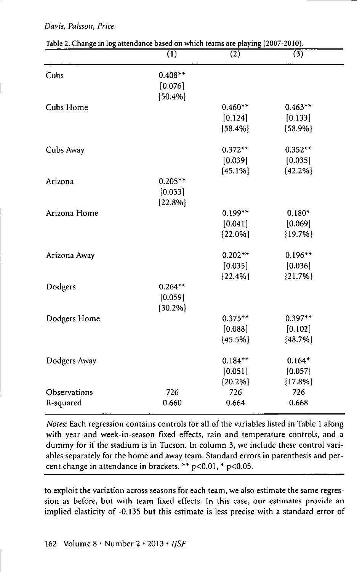| Table 2. Change in log attenuance based on which teams are playing (2007-2010). | $\overline{(1)}$ | (2)        | (3)        |
|---------------------------------------------------------------------------------|------------------|------------|------------|
| Cubs                                                                            | $0.408**$        |            |            |
|                                                                                 | [0.076]          |            |            |
|                                                                                 | ${50.4\%}$       |            |            |
| Cubs Home                                                                       |                  | $0.460**$  | $0.463**$  |
|                                                                                 |                  | [0.124]    | [0.133]    |
|                                                                                 |                  | ${58.4\%}$ | ${58.9%}$  |
| Cubs Away                                                                       |                  | $0.372**$  | $0.352**$  |
|                                                                                 |                  | (0.039)    | [0.035]    |
|                                                                                 |                  | ${45.1%}$  | ${42.2%}$  |
| Arizona                                                                         | $0.205**$        |            |            |
|                                                                                 | [0.033]          |            |            |
|                                                                                 | ${22.8\%}$       |            |            |
| Arizona Home                                                                    |                  | $0.199**$  | $0.180*$   |
|                                                                                 |                  | [0.041]    | [0.069]    |
|                                                                                 |                  | ${22.0\%}$ | ${19.7%}$  |
| Arizona Away                                                                    |                  | $0.202**$  | $0.196**$  |
|                                                                                 |                  | [0.035]    | [0.036]    |
|                                                                                 |                  | ${22.4%}$  | ${21.7%}$  |
| Dodgers                                                                         | $0.264**$        |            |            |
|                                                                                 | [0.059]          |            |            |
|                                                                                 | ${30.2%}$        |            |            |
| Dodgers Home                                                                    |                  | $0.375**$  | $0.397**$  |
|                                                                                 |                  | [0.088]    | [0.102]    |
|                                                                                 |                  | ${45.5%}$  | ${48.7%}$  |
| Dodgers Away                                                                    |                  | $0.184**$  | $0.164*$   |
|                                                                                 |                  | [0.051]    | [0.057]    |
|                                                                                 |                  | ${20.2%}$  | ${17.8\%}$ |
| Observations                                                                    | 726              | 726        | 726        |
| R-squared                                                                       | 0.660            | 0.664      | 0.668      |

Table 2. Change in log attendance based on which teams are playing (2007-2010).

*Notes:* Each regression contains controls for all of the variables listed in Table 1 along with year and week-in-season fixed effects, rain and temperature controls, and a dummy for if the stadium is in Tucson. In column 3, we include these control variables separately for the home and away team. Standard errors in parenthesis and percent change in attendance in brackets. \*\* p<0.01, \* p<0.05.

to exploit the variation across seasons for each team, we also estimate the same regression as before, but with team fixed effects. In this case, our estimates provide an implied elasticity of -0.135 but this estimate is less precise with a standard error of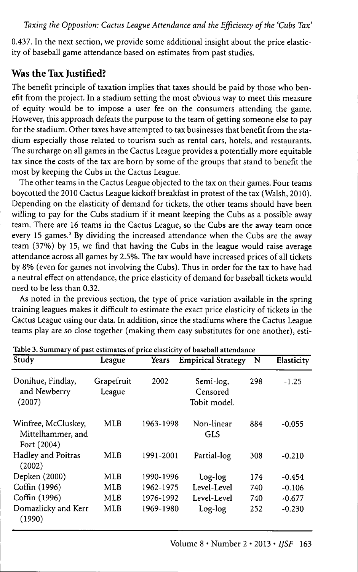0.437. In the next section, we provide some additional insight about the price elasticity of baseball game attendance based on estimates from past studies.

# Was the Tax Justified?

The benefit principle of taxation implies that taxes should be paid by those who benefit from the project. In a stadium setting the most obvious way to meet this measure of equity would be to impose a user fee on the consumers attending the game. However, this approach defeats the purpose to the team of getting someone else to pay for the stadium. Other taxes have attempted to tax businesses that benefit from the stadium especially those related to tourism such as rental cars, hotels, and restaurants. The surcharge on all games in the Cactus League provides a potentially more equitable tax since the costs of the tax are born by some of the groups that stand to benefit the most by keeping the Cubs in the Cactus League.

The other teams in the Cactus League objected to the tax on their games. Four teams boycotted the 2010 Cactus League kickoff breakfast in protest of the tax (Walsh, 2010). Depending on the elasticity of demand for tickets, the other teams should have been willing to pay for the Cubs stadium if it meant keeping the Cubs as a possible away team. There are 16 teams in the Cactus League, so the Cubs are the away team once every 15 games.' By dividing the increased attendance when the Cubs are the away team (37%) by 15, we find that having the Cubs in the league would raise average attendance across all games by 2.5%. The tax would have increased prices of all tickets by 8% (even for games not involving the Cubs). Thus in order for the tax to have had a neutral effect on attendance, the price elasticity of demand for baseball tickets would need to be less than 0.32.

As noted in the previous section, the type of price variation available in the spring training leagues makes it difficult to estimate the exact price elasticity of tickets in the Cactus League using our data. In addition, since the stadiums where the Cactus League teams play are so close together (making them easy substitutes for one another), esti-

| Study                                                   | League               | Years     | <b>Empirical Strategy</b>             | N   | Elasticity |
|---------------------------------------------------------|----------------------|-----------|---------------------------------------|-----|------------|
| Donihue, Findlay,<br>and Newberry<br>(2007)             | Grapefruit<br>League | 2002      | Semi-log,<br>Censored<br>Tobit model. | 298 | $-1.25$    |
| Winfree, McCluskey,<br>Mittelhammer, and<br>Fort (2004) | <b>MLB</b>           | 1963-1998 | Non-linear<br><b>GLS</b>              | 884 | $-0.055$   |
| Hadley and Poitras<br>(2002)                            | MLB                  | 1991-2001 | Partial-log                           | 308 | $-0.210$   |
| Depken (2000)                                           | MLB                  | 1990-1996 | Log-log                               | 174 | $-0.454$   |
| Coffin (1996)                                           | MLB                  | 1962-1975 | Level-Level                           | 740 | $-0.106$   |
| Coffin (1996)                                           | <b>MLB</b>           | 1976-1992 | Level-Level                           | 740 | $-0.677$   |
| Domazlicky and Kerr<br>(1990)                           | MLB                  | 1969-1980 | Log-log                               | 252 | $-0.230$   |

Table 3. Summary of past estimates of price elasticity of baseball attendance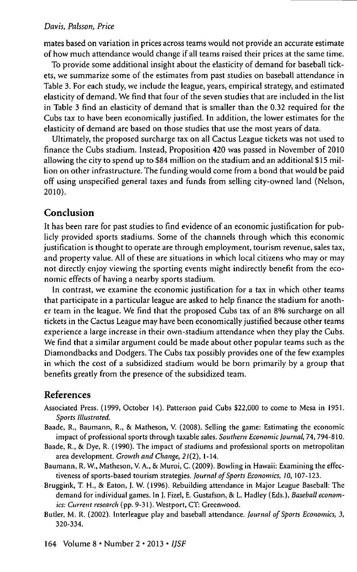mates based on variation in prices across teams would not provide an accurate estimate of how much attendance would change if all teams raised their prices at the same time.

To provide some additional insight about the elasticity of demand for baseball tickets, we summarize some of the estimates from past studies on baseball attendance in Table 3. For each study, we include the league, years, empirical strategy, and estimated elasticity of demand. We find that four of the seven studies that are included in the list in Table 3 find an elasticity of demand that is smaller than the 0.32 required for the Cubs tax to have been economically justified. In addition, the lower estimates for the elasticity of demand are based on those studies that use the most years of data.

Ultimately, the proposed surcharge tax on all Cactus League tickets was not used to finance the Cubs stadium. Instead, Proposition 420 was passed in November of 2010 allowing the city to spend up to \$84 million on the stadium and an additional \$15 million on other infrastructure. The funding would come from a bond that would be paid off using unspecified general taxes and funds from selling city-owned land (Nelson, 2010).

#### Conclusion

It has been rare for past studies to find evidence of an economic justification for publicly provided sports stadiums. Some of the channels through which this economic justification is thought to operate are through employment, tourism revenue, sales tax, and property value. All of these are situations in which local citizens who may or may not directly enjoy viewing the sporting events might indirectly benefit from the economic effects of having a nearby sports stadium.

In contrast, we examine the economic justification for a tax in which other teams that participate in a particular league are asked to help finance the stadium for another team in the league. We find that the proposed Cubs tax of an 8% surcharge on all tickets in the Cactus League may have been economically justified because other teams experience a large increase in their own-stadium attendance when they play the Cubs. We find that a similar argument could be made about other popular teams such as the Diamondbacks and Dodgers. The Cubs tax possibly provides one of the few examples in which the cost of a subsidized stadium would be born primarily by a group that benefits greatly from the presence of the subsidized team.

#### References

- Associated Press. (1999, October 14). Patterson paid Cubs \$22,000 to come to Mesa in 1951. *Sports Illustrated.*
- Baade, R., Baumann, R., & Matheson, V. (2008). Selling the game: Estimating the economic impact of professional sports through taxable sales. *Southern Economic Journal,* 74,794-810.
- Baade, R., & Dye, R. (1990). The impact of stadiums and professional sports on metropolitan area development. *Growth and Change,* 2/(2), 1-14.
- Baumann, R. W., Matheson, V. A., & Muroi, C. (2009). Bowling in Hawaii: Examining the effectiveness of sports-based tourism strategies. Journal of Sports Economics, 10, 107-123.
- Bruggink, T. H., & Eaton, J. W. (1996). Rebuilding attendance in Major League Baseball: The demand for individual games. In J. Fizel, E. Gustafson, & L. Hadley (Eds.), Baseball econom*ics: Current research* (pp. 9-31). Westport, CT: Greenwood.
- Butler, M. R. (2002). Interleague play and baseball attendance. *Journal of Sports Economics, 3,* 320-334.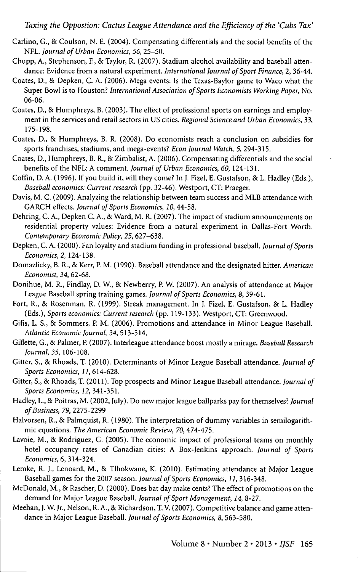- Carlino, G., & Coulson, N. E. (2004). Compensating differentials and the social benefits of the NFL. *Journal of Urban Economics, 56,* 25-50.
- Chupp, A., Stephenson, F., & Taylor, R. (2007). Stadium alcohol availability and baseball attendance: Evidence from a natural experiment. *International Journal of Sport Finance, 2,* 36-44.
- Coates, D., & Depken, C. A. (2006). Mega events: Is the Texas-Baylor game to Waco what the Super Bowl is to Houston? *International Association of Sports Economists Working Paper,* No. 06-06.
- Coates, D., & Humphreys, B. (2003). The effect of professional sports on earnings and employment in the services and retail sectors in US cities. *Regional Science and Urban Economics, 33,* 175-198.
- Coates, D., & Humphreys, B. R. (2008). Do economists reach a conclusion on subsidies for sports franchises, stadiums, and mega-events? *Econ Journal Watch, 5,* 294-315.
- Coates, D., Humphreys, B. R., & Zimbalist, A. (2006). Compensating differentials and the social benefits of the NFL: A comment. *Journal of Urban Economics, 60,* 124-131.
- Coffin, D. A. (1996). If you build it, will they come? In I. Fizel, E. Gustafson, & L. Hadley (Eds.), *Baseball economics: Current research* (pp. 32-46). Westport, CT: Praeger.
- Davis, M. C. (2009). Analyzing the relationship between team success and MLB attendance with GARCH effects. *Journal of Sports Economics, 10,* 44-58.
- Dehring, C. A., Depken C. A., & Ward, M. R. (2007). The impact of stadium announcements on residential property values: Evidence from a natural experiment in Dallas-Fort Worth. *Contemporary Economic Policy, 25,* 627-638.
- Depken, C. A. (2000). Fan loyalty and stadium funding in professional baseball. *Journal of Sports Economics, 2,* 124-138.
- Domazlicky, B. R., & Kerr, P. M. (1990). Baseball attendance and the designated hitter. *American Economist, 34,* 62-68.
- Donihue, M. R., Findlay, D. W., & Newberry, P. W. (2007). An analysis of attendance at Major League Baseball spring training games. *Journal of Sports Economics, 8,* 39-61.
- Fort, R., & Rosenman, R. (1999). Streak management. In J. Fizel, E. Gustafson, & L. Hadley (Eds.), *Sports economics: Current research* (pp. 119-133). Westport, CT: Greenwood.
- Gifis, L. S., 8c Sommers, P. M. (2006). Promotions and attendance in Minor League Baseball. *Atlantic Economic Journal, 34,* 513-514.
- Gillette, G., 8c Palmer, P. (2007). Interleague attendance boost mostly a mirage. *Baseball Research Journal, 35,* 106-108.
- Gitter, S., 8c Rhoads, T. (2010). Determinants of Minor League Baseball attendance. *Journal of Sports Economics, 11,* 614-628.
- Gitter, S., & Rhoads, T. (2011). Top prospects and Minor League Baseball attendance. *Journal of Sports Economics, 12,* 341-351.
- Hadley, L., & Poitras, M. (2002, July). Do new major league ballparks pay for themselves? *Journal of Business, 79,* 2275-2299
- Halvorsen, R., & Palmquist, R. (1980). The interpretation of dummy variables in semilogarithmic equations. *The American Economic Review, 70,*474-475.
- Lavoie, M., & Rodriguez, G. (2005). The economic impact of professional teams on monthly hotel occupancy rates of Canadian cities: A Box-Ienkins approach. *Journal of Sports Economics, 6, 3U-324.*
- Lemke, R. J., Lenoard, M., & Tlhokwane, K. (2010). Estimating attendance at Major League Baseball games for the 2007 season. *Journal of Sports Economics, 11,* 316-348.
- McDonald, M., 8c Rascher, D. (2000). Does bat day make cents? The effect of promotions on the demand for Major League Baseball. *Journal of Sport Management, 14,* 8-27.
- Meehan, J. W. Jr., Nelson, R. A., & Richardson, T. V. (2007). Competitive balance and game attendance in Major League Baseball. *Journal of Sports Economics, 8,* 563-580.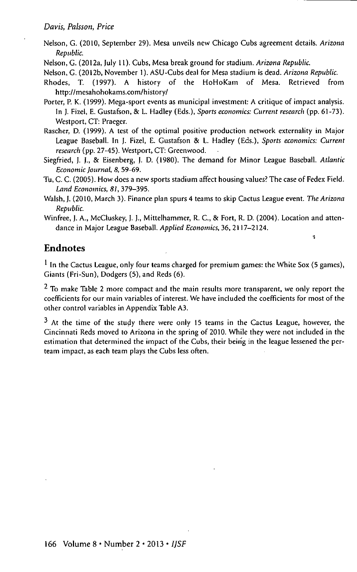Nelson, G. (2010, September 29). Mesa unveils new Chicago Cubs agreement details. *Arizona Republic.*

Nelson, C. (2012a, July 11). Cubs, Mesa break ground for stadium. *Arizona Republic.*

Nelson, C. (2012b, November 1). ASU-Cubs deal for Mesa stadium is dead. *Arizona Republic.*

- Rhodes, T. (1997). A history of the HoHoKam of Mesa. Retrieved from http://mesahohokams.com/history/
- Porter, P. K. (1999). Mega-sport events as municipal investment: A critique of impact analysis. In J. Fizel, E. Gustafson, 8c L. Hadley (Eds.), *Sports economics: Current research* (pp. 61-73). Westport, CT: Praeger.
- Rascher, D. (1999). A test of the optimal positive production network externality in Major League Baseball. In J. Fizel, E. Gustafson & L. Hadley (Eds.), *Sports economics: Current research* (pp. 27-45). Westport, CT: Greenwood.
- Siegfried, J. J., & Eisenberg, |. D. (1980). The demand for Minor League Baseball. *Atlantic Economic Journal, 8,* 59-69.
- Tu, C. C. (2005). How does a new sports stadium affect housing values? The case of Fedex Field. *Land Economics, 81,* 379-395.
- Walsh, J. (2010, March 3). Finance plan spurs 4 teams to skip Cactus League event. *The Arizona Republic.*
- Winfree, J. A., McCluskey, J. J., Mittelhammer, R. C, & Fort, R. D. (2004). Location and attendance in Major League Baseball. *Applied Economics,* 36, 2117-2124.

÷

## Endnotes

 $<sup>1</sup>$  In the Cactus League, only four teams charged for premium games: the White Sox (5 games),</sup> Giants (Fri-Sun), Dodgers (5), and Reds (6).

 $2$  To make Table 2 more compact and the main results more transparent, we only report the coefficients for our main variables of interest. We have included the coefficients for most of the other control variables in Appendix Table A3.

<sup>3</sup> At the time of the study there were only 15 teams in the Cactus League, however, the Cincinnati Reds moved to Arizona in the spring of 2010. While they were not included in the estimation that determined the impact of the Cubs, their bein'g in the league lessened the perteam impact, as each team plays the Cubs less often.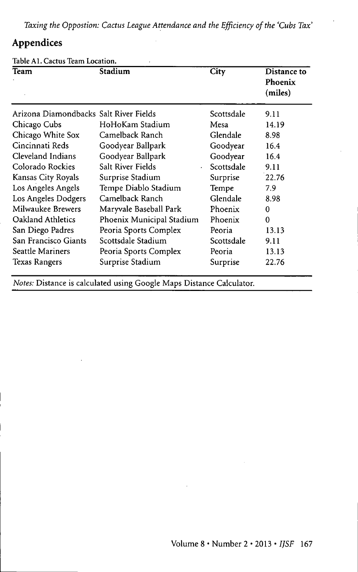*Taxing the Oppostion: Cactus League Attendance and the Efficiency of the 'Cubs Tax'*

# Appendices

Table Al. Cactus Team Location.

| Team                                   | Stadium                   | City       | Distance to<br>Phoenix<br>(miles) |
|----------------------------------------|---------------------------|------------|-----------------------------------|
| Arizona Diamondbacks Salt River Fields |                           | Scottsdale | 9.11                              |
| Chicago Cubs                           | HoHoKam Stadium           | Mesa       | 14.19                             |
| Chicago White Sox                      | Camelback Ranch           | Glendale   | 8.98                              |
| Cincinnati Reds                        | Goodyear Ballpark         | Goodyear   | 16.4                              |
| Cleveland Indians                      | Goodyear Ballpark         | Goodyear   | 16.4                              |
| Colorado Rockies                       | Salt River Fields         | Scottsdale | 9.11                              |
| Kansas City Royals                     | Surprise Stadium          | Surprise   | 22.76                             |
| Los Angeles Angels                     | Tempe Diablo Stadium      | Tempe      | 7.9                               |
| Los Angeles Dodgers                    | Camelback Ranch           | Glendale   | 8.98                              |
| Milwaukee Brewers                      | Maryvale Baseball Park    | Phoenix    | 0                                 |
| Oakland Athletics                      | Phoenix Municipal Stadium | Phoenix    | 0                                 |
| San Diego Padres                       | Peoria Sports Complex     | Peoria     | 13.13                             |
| San Francisco Giants                   | Scottsdale Stadium        | Scottsdale | 9.11                              |
| <b>Seattle Mariners</b>                | Peoria Sports Complex     | Peoria     | 13.13                             |
| Texas Rangers                          | Surprise Stadium          | Surprise   | 22.76                             |

*Notes:* Distance is calculated using Google Maps Distance Calculator.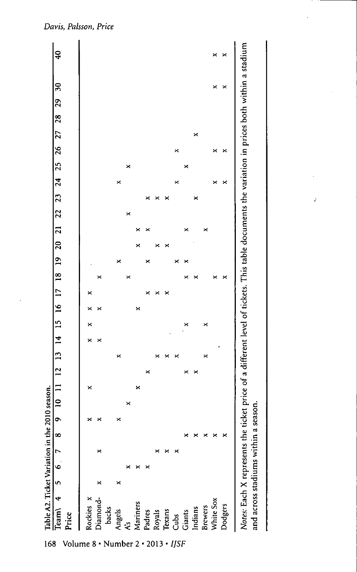

adiums

cross **rt**

and

168 Volume 8 · Number 2 · 2013 · IJSF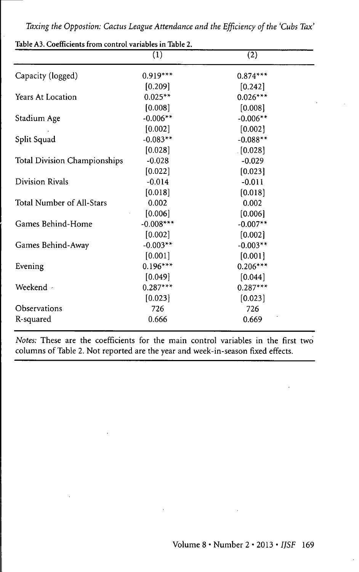*Taxing the Oppostion: Cactus League Attendance and the Efficiency of the 'Cubs Tax'*

|                              | $\overline{(1)}$ | (2)        |
|------------------------------|------------------|------------|
| Capacity (logged)            | $0.919***$       | $0.874***$ |
|                              | [0.209]          | [0.242]    |
| Years At Location            | $0.025**$        | $0.026***$ |
|                              | [0.008]          | [0.008]    |
| Stadium Age                  | $-0.006**$       | $-0.006**$ |
|                              | [0.002]          | [0.002]    |
| Split Squad                  | $-0.083**$       | $-0.088**$ |
|                              | [0.028]          | [0.028]    |
| Total Division Championships | $-0.028$         | $-0.029$   |
|                              | [0.022]          | [0.023]    |
| Division Rivals              | $-0.014$         | $-0.011$   |
|                              | [0.018]          | [0.018]    |
| Total Number of All-Stars    | 0.002            | 0.002      |
|                              | [0.006]          | [0.006]    |
| Games Behind-Home            | $-0.008***$      | $-0.007**$ |
|                              | [0.002]          | [0.002]    |
| Games Behind-Away            | $-0.003**$       | $-0.003**$ |
|                              | [0.001]          | [0.001]    |
| Evening                      | $0.196***$       | $0.206***$ |
|                              | [0.049]          | [0.044]    |
| Weekend -                    | $0.287***$       | $0.287***$ |
|                              | [0.023]          | [0.023]    |
| Observations                 | 726              | 726        |
| R-squared                    | 0.666            | 0.669      |
|                              |                  |            |

Table A3. Coefficients from control variables in Table 2.

*Notes:* These are the coefficients for the main control variables in the first two columns of Table 2. Not reported are the year and week-in-season fixed effects.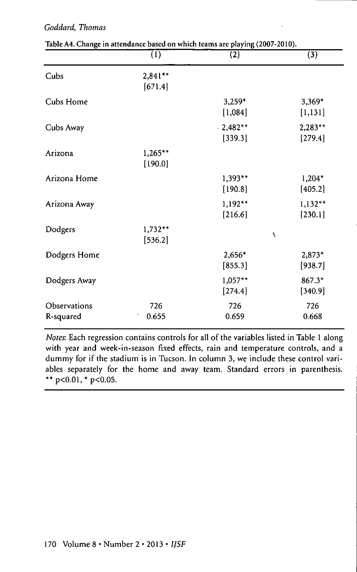### *Goddard, Thomas*

|                           | $\overline{(1)}$      | $\overline{(2)}$      | $\overline{(3)}$     |
|---------------------------|-----------------------|-----------------------|----------------------|
| Cubs                      | $2,841**$<br>[671.4]  |                       |                      |
| Cubs Home                 |                       | $3,259*$<br>[1,084]   | $3,369*$<br>[1, 131] |
| Cubs Away                 |                       | $.2,482**$<br>[339.3] | 2,283**<br>[279.4]   |
| Arizona                   | $1,265***$<br>[190.0] |                       |                      |
| Arizona Home              |                       | $1,393**$<br>[190.8]  | $1,204*$<br>[405.2]  |
| Arizona Away              |                       | $1,192**$<br>[216.6]  | $1,132**$<br>[230.1] |
| Dodgers                   | $1,732**$<br>[536.2]  |                       | N                    |
| Dodgers Home              |                       | 2,656*<br>[855.3]     | 2,873*<br>[938.7]    |
| Dodgers Away              |                       | 1,057**<br>[274.4]    | 867.3*<br>[340.9]    |
| Observations<br>R-squared | 726<br>0.655          | 726<br>0.659          | 726<br>0.668         |

| Table A4. Change in attendance based on which teams are playing (2007-2010). |  |
|------------------------------------------------------------------------------|--|
|------------------------------------------------------------------------------|--|

*Notes:* Each regression contains controls for all of the variables listed in Table 1 along with year and week-in-season fixed effects, rain and temperature controls, and a dummy for if the stadium is in Tucson. In column 3, we include these control variables separately for the home and away team. Standard errors in parenthesis. \*\*  $p<0.01$ , \*  $p<0.05$ .